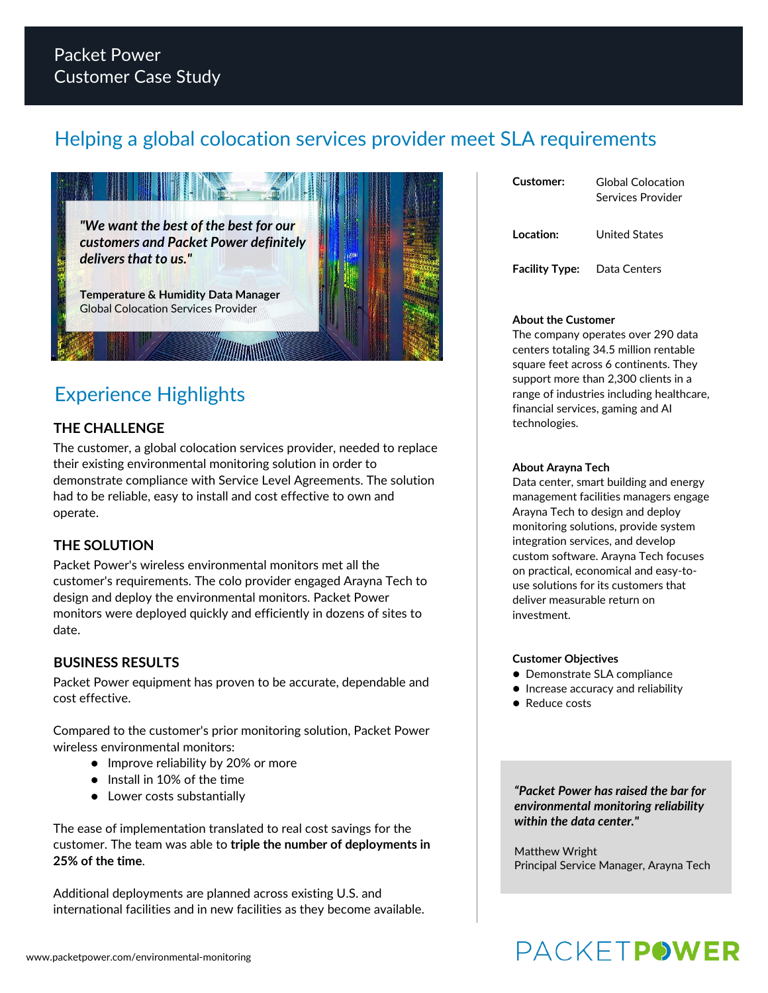# Helping a global colocation services provider meet SLA requirements



# Experience Highlights

## **THE CHALLENGE**

The customer, a global colocation services provider, needed to replace their existing environmental monitoring solution in order to demonstrate compliance with Service Level Agreements. The solution had to be reliable, easy to install and cost effective to own and operate.

## **THE SOLUTION**

Packet Power's wireless environmental monitors met all the customer's requirements. The colo provider engaged Arayna Tech to design and deploy the environmental monitors. Packet Power monitors were deployed quickly and efficiently in dozens of sites to date.

## **BUSINESS RESULTS**

Packet Power equipment has proven to be accurate, dependable and cost effective.

Compared to the customer's prior monitoring solution, Packet Power wireless environmental monitors:

- Improve reliability by 20% or more
- $\bullet$  Install in 10% of the time
- $\bullet$  Lower costs substantially

The ease of implementation translated to real cost savings for the customer. The team was able to **triple the number of deployments in 25% of the time**.

Additional deployments are planned across existing U.S. and international facilities and in new facilities as they become available.

| Customer:             | Global Colocation<br>Services Provider |
|-----------------------|----------------------------------------|
| Location:             | United States                          |
| <b>Facility Type:</b> | Data Centers                           |

### **About the Customer**

The company operates over 290 data centers totaling 34.5 million rentable square feet across 6 continents. They support more than 2,300 clients in a range of industries including healthcare, financial services, gaming and AI technologies.

### **About Arayna Tech**

Data center, smart building and energy management facilities managers engage Arayna Tech to design and deploy monitoring solutions, provide system integration services, and develop custom software. Arayna Tech focuses on practical, economical and easy-touse solutions for its customers that deliver measurable return on investment.

### **Customer Objectives**

- **Demonstrate SLA compliance**
- **Increase accuracy and reliability**
- Reduce costs

*"Packet Power has raised the bar for environmental monitoring reliability within the data center."*

Matthew Wright Principal Service Manager, Arayna Tech

# **PACKETPOWER**